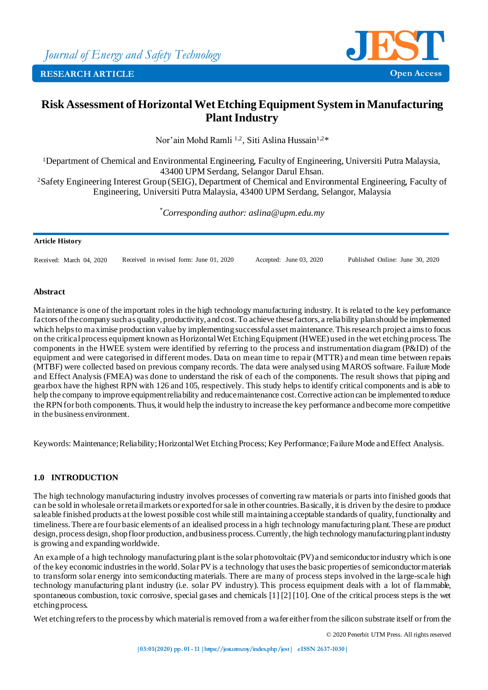

# **Risk Assessment of Horizontal Wet Etching Equipment System in Manufacturing Plant Industry**

Nor'ain Mohd Ramli <sup>1,2</sup>, Siti Aslina Hussain<sup>1,2\*</sup>

Department of Chemical and Environmental Engineering, Faculty of Engineering, Universiti Putra Malaysia, UPM Serdang, Selangor Darul Ehsan. Safety Engineering Interest Group (SEIG), Department of Chemical and Environmental Engineering, Faculty of Engineering, Universiti Putra Malaysia, 43400 UPM Serdang, Selangor, Malaysia

*\*Corresponding author: aslina@upm.edu.my*

#### **Article History**

Received: March 04, 2020 Received in revised form: June 01, 2020 Accepted: June 03, 2020 Published Online: June 30, 2020

## **Abstract**

Maintenance is one of the important roles in the high technology manufacturing industry. It is related to the key performance factors of the company such as quality, productivity, and cost. To achieve these factors, a reliability plan should be implemented which helps to maximise production value by implementing successful asset maintenance. This research project aims to focus on the critical process equipment known as Horizontal Wet Etching Equipment (HWEE) used in the wet etching process. The components in the HWEE system were identified by referring to the process and instrumentation diagram (P&ID) of the equipment and were categorised in different modes. Data on mean time to repair (MTTR) and mean time between repairs (MTBF) were collected based on previous company records. The data were analysed using MAROS software. Failure Mode and Effect Analysis (FMEA) was done to understand the risk of each of the components. The result shows that piping and gearbox have the highest RPN with 126 and 105, respectively. This study helps to identify critical components and is able to help the company to improve equipment reliability and reduce maintenance cost. Corrective action can be implemented to reduce the RPN for both components. Thus, it would help the industry to increase the key performance and become more competitive in the business environment.

Keywords: Maintenance; Reliability; Horizontal Wet Etching Process; Key Performance; Failure Mode and Effect Analysis.

# **1.0 INTRODUCTION**

The high technology manufacturing industry involves processes of converting raw materials or parts into finished goods that can be sold in wholesale or retail markets or exported for sale in other countries. Basically, it is driven by the desire to produce saleable finished products at the lowest possible cost while still maintaining acceptable standards of quality, functionality and timeliness. There are four basic elements of an idealised process in a high technology manufacturing plant. These are product design, process design, shop floor production, and business process. Currently, the high technology manufacturing plant industry is growing and expanding worldwide.

An example of a high technology manufacturing plant is the solar photovoltaic (PV) and semiconductor industry which is one of the key economic industries in the world. Solar PV is a technology that uses the basic properties of semiconductor materials to transform solar energy into semiconducting materials. There are many of process steps involved in the large-scale high technology manufacturing plant industry (i.e. solar PV industry). This process equipment deals with a lot of flammable, spontaneous combustion, toxic corrosive, special gases and chemicals [1] [2] [10]. One of the critical process steps is the wet etching process.

Wet etching refers to the process by which material is removed from a wafer either from the silicon substrate itself or from the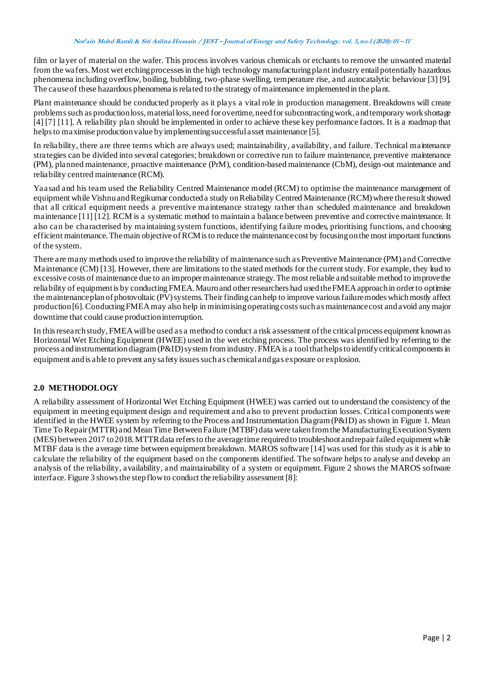film or layer of material on the wafer. This process involves various chemicals or etchants to remove the unwanted material from the wafers. Most wet etching processesin the high technology manufacturing plant industry entail potentially hazardous phenomena including overflow, boiling, bubbling, two-phase swelling, temperature rise, and autocatalytic behaviour [3] [9]. The cause of these hazardous phenomena is related to the strategy of maintenance implemented in the plant.

Plant maintenance should be conducted properly as it plays a vital role in production management. Breakdowns will create problems such as production loss, material loss, need for overtime, need forsubcontracting work, and temporary work shortage [4] [7] [11]. A reliability plan should be implemented in order to achieve these key performance factors. It is a roadmap that helps to maximise production value by implementing successful asset maintenance [5].

In reliability, there are three terms which are always used; maintainability, availability, and failure. Technical maintenance strategies can be divided into several categories; breakdown or corrective run to failure maintenance, preventive maintenance (PM), planned maintenance, proactive maintenance (PrM), condition-based maintenance (CbM), design-out maintenance and reliability centred maintenance (RCM).

Yaasad and his team used the Reliability Centred Maintenance model (RCM) to optimise the maintenance management of equipment while Vishnu andRegikumar conducted a study on Reliability Centred Maintenance (RCM) where the result showed that all critical equipment needs a preventive maintenance strategy rather than scheduled maintenance and breakdown maintenance [11] [12]. RCM is a systematic method to maintain a balance between preventive and corrective maintenance. It also can be characterised by maintaining system functions, identifying failure modes, prioritising functions, and choosing efficient maintenance. The main objective of RCM is to reduce the maintenance cost by focusing on the most important functions of the system.

There are many methods used to improve the reliability of maintenance such as Preventive Maintenance (PM) and Corrective Maintenance (CM) [13]. However, there are limitations to the stated methods for the current study. For example, they lead to excessive costs of maintenance due to an improper maintenance strategy. The most reliable and suitable method to improve the reliability of equipment is by conducting FMEA. Mauro and other researchers had used theFMEA approach in order to optimise the maintenance plan of photovoltaic (PV) systems. Their finding canhelp to improve various failure modes which mostly affect production [6]. Conducting FMEA may also help in minimising operating costs such as maintenance cost and avoid any major downtime that could cause production interruption.

In this research study, FMEA will be used as a method to conduct a risk assessment ofthe critical process equipment known as Horizontal Wet Etching Equipment (HWEE) used in the wet etching process. The process was identified by referring to the process and instrumentation diagram (P&ID) system from industry. FMEA is a tool that helps to identify critical components in equipment andis able to prevent any safety issues such as chemical and gas exposure or explosion.

# **2.0 METHODOLOGY**

A reliability assessment of Horizontal Wet Etching Equipment (HWEE) was carried out to understand the consistency of the equipment in meeting equipment design and requirement and also to prevent production losses. Critical components were identified in the HWEE system by referring to the Process and Instrumentation Diagram (P&ID) as shown in Figure 1. Mean Time To Repair (MTTR) and Mean Time Between Failure (MTBF) data were taken from the Manufacturing Execution System (MES) between 2017 to 2018. MTTR data refers to the average time required to troubleshoot and repair failed equipment while MTBF data is the average time between equipment breakdown. MAROS software [14] was used for this study as it is able to calculate the reliability of the equipment based on the components identified. The software helps to analyse and develop an analysis of the reliability, availability, and maintainability of a system or equipment. Figure 2 shows the MAROS software interface. Figure 3 shows the step flow to conduct the reliability assessment [8]: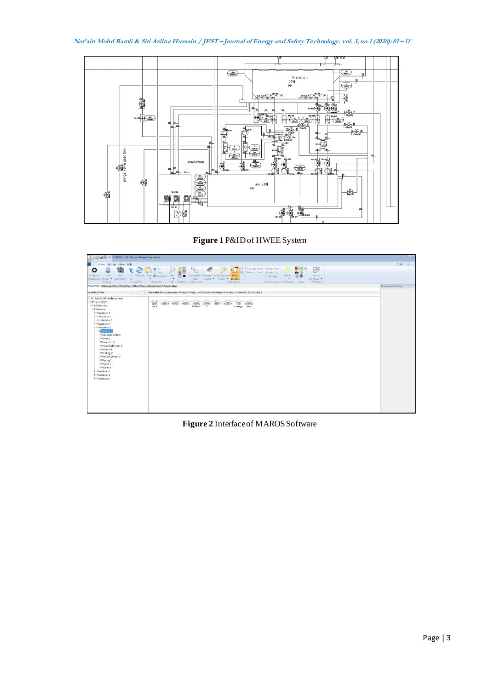**Nor'ain Mohd Ramli & Siti Aslina Hussain / JEST – Journal of Energy and Safety Technology. vol. 3,no.1 (2020): <sup>01</sup> – 11`**



**Figure 1** P&ID of HWEE System



**Figure 2** Interface of MAROS Software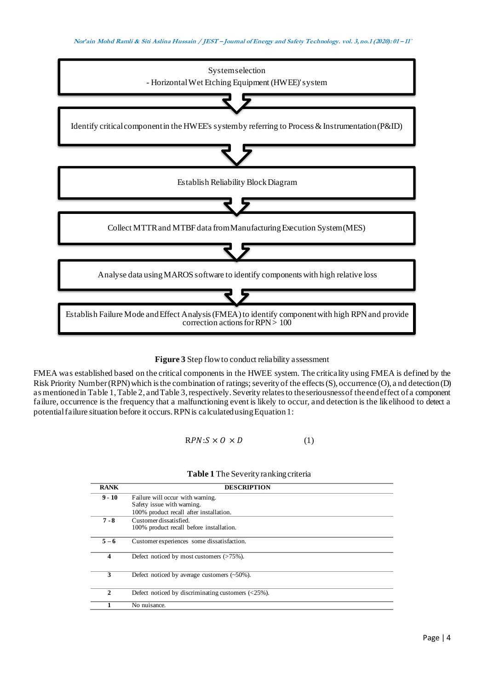



FMEA was established based on the critical components in the HWEE system. The criticality using FMEA is defined by the Risk Priority Number (RPN) which is the combination of ratings; severity of the effects (S), occurrence (O), a nd detection (D) as mentioned in Table 1, Table 2, and Table 3, respectively. Severity relates to the seriousness of the end effect of a component failure, occurrence is the frequency that a malfunctioning event is likely to occur, and detection is the likelihood to detect a potential failure situation before it occurs. RPN is calculated using Equation 1:

 $RPN: S \times O \times D$  (1)

# **Table 1** The Severity ranking criteria

| <b>RANK</b> | <b>DESCRIPTION</b>                                                                 |
|-------------|------------------------------------------------------------------------------------|
| $9 - 10$    | Failure will occur with warning.                                                   |
|             | Safety issue with warning.                                                         |
|             | 100% product recall after installation.                                            |
| $7 - 8$     | Customer dissatisfied.                                                             |
|             | 100% product recall before installation.                                           |
| $5 - 6$     | Customer experiences some dissatisfaction.                                         |
| 4           | Defect noticed by most customers $($ >75%).                                        |
| 3           | Defect noticed by average customers $(-50\%)$ .                                    |
| 2           | Defect noticed by discriminating customers $\left( \langle 25\% \rangle \right)$ . |
|             | No nuisance.                                                                       |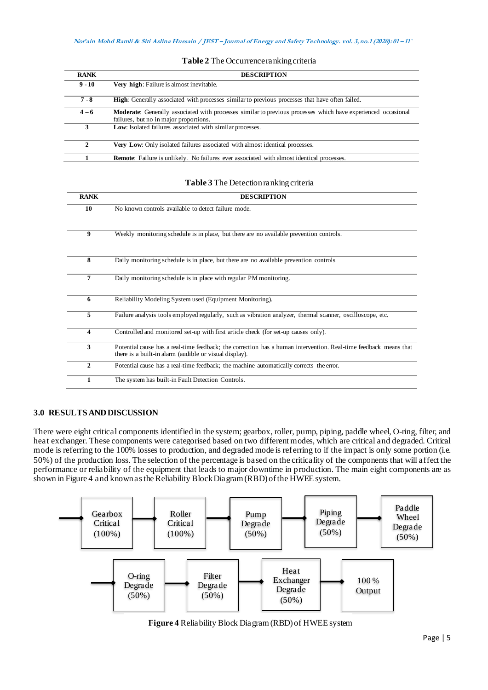| <b>RANK</b> | <b>DESCRIPTION</b>                                                                                                                                             |
|-------------|----------------------------------------------------------------------------------------------------------------------------------------------------------------|
| $9 - 10$    | <b>Very high:</b> Failure is almost inevitable.                                                                                                                |
| $7 - 8$     | <b>High:</b> Generally associated with processes similar to previous processes that have often failed.                                                         |
| $4 - 6$     | <b>Moderate:</b> Generally associated with processes similar to previous processes which have experienced occasional<br>failures, but no in major proportions. |
| 3           | <b>Low:</b> Isolated failures associated with similar processes.                                                                                               |
| 2           | <b>Very Low:</b> Only isolated failures associated with almost identical processes.                                                                            |
|             | <b>Remote:</b> Failure is unlikely. No failures ever associated with almost identical processes.                                                               |

#### **Table 2** The Occurrence ranking criteria

## **Table 3** The Detection ranking criteria

| <b>RANK</b>  | <b>DESCRIPTION</b>                                                                                                                                                         |
|--------------|----------------------------------------------------------------------------------------------------------------------------------------------------------------------------|
| 10           | No known controls available to detect failure mode.                                                                                                                        |
| 9            | Weekly monitoring schedule is in place, but there are no available prevention controls.                                                                                    |
| 8            | Daily monitoring schedule is in place, but there are no available prevention controls                                                                                      |
| 7            | Daily monitoring schedule is in place with regular PM monitoring.                                                                                                          |
| 6            | Reliability Modeling System used (Equipment Monitoring).                                                                                                                   |
| 5            | Failure analysis tools employed regularly, such as vibration analyzer, thermal scanner, oscilloscope, etc.                                                                 |
| 4            | Controlled and monitored set-up with first article check (for set-up causes only).                                                                                         |
| 3            | Potential cause has a real-time feedback; the correction has a human intervention. Real-time feedback means that<br>there is a built-in alarm (audible or visual display). |
| $\mathbf{2}$ | Potential cause has a real-time feedback; the machine automatically corrects the error.                                                                                    |
| 1            | The system has built-in Fault Detection Controls.                                                                                                                          |

## **3.0 RESULTS AND DISCUSSION**

There were eight critical components identified in the system; gearbox, roller, pump, piping, paddle wheel, O-ring, filter, and heat exchanger. These components were categorised based on two different modes, which are critical and degraded. Critical mode is referring to the 100% losses to production, and degraded mode is referring to if the impact is only some portion (i.e. 50%) of the production loss. The selection of the percentage is based on the criticality of the components that will affect the performance or reliability of the equipment that leads to major downtime in production. The main eight components are as shown in Figure 4 and known as the Reliability Block Diagram (RBD) of the HWEE system.



**Figure 4** Reliability Block Diagram (RBD) of HWEE system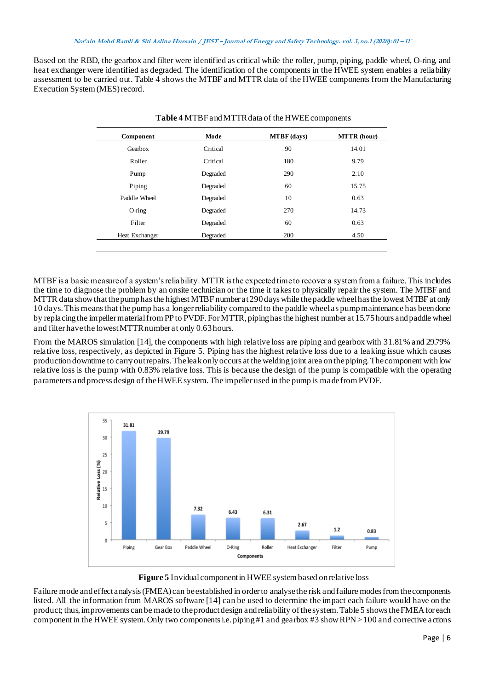#### **Nor'ain Mohd Ramli & Siti Aslina Hussain / JEST – Journal of Energy and Safety Technology. vol. 3,no.1 (2020): <sup>01</sup> – 11`**

Based on the RBD, the gearbox and filter were identified as critical while the roller, pump, piping, paddle wheel, O-ring, and heat exchanger were identified as degraded. The identification of the components in the HWEE system enables a reliability assessment to be carried out. Table 4 shows the MTBF and MTTR data of the HWEE components from the Manufacturing Execution System (MES) record.

| Component      | Mode     | <b>MTBF</b> (days) | <b>MTTR</b> (hour) |
|----------------|----------|--------------------|--------------------|
| Gearbox        | Critical | 90                 | 14.01              |
| Roller         | Critical | 180                | 9.79               |
| Pump           | Degraded | 290                | 2.10               |
| Piping         | Degraded | 60                 | 15.75              |
| Paddle Wheel   | Degraded | 10                 | 0.63               |
| $O$ -ring      | Degraded | 270                | 14.73              |
| Filter         | Degraded | 60                 | 0.63               |
| Heat Exchanger | Degraded | 200                | 4.50               |

| Table 4 MTBF and MTTR data of the HWEE components |
|---------------------------------------------------|
|---------------------------------------------------|

MTBF is a basic measure of a system's reliability. MTTR is the expected time to recover a system from a failure. This includes the time to diagnose the problem by an onsite technician or the time it takes to physically repair the system. The MTBF and MTTR data show that the pump has the highest MTBF number at 290 days while the paddle wheel has the lowest MTBF at only 10 days. Thismeans that the pump has a longer reliability compared to the paddle wheel as pump maintenance has been done by replacing the impeller material from PP to PVDF. For MTTR, piping has the highest number at15.75 hours and paddle wheel and filter havethe lowest MTTR number at only 0.63 hours.

From the MAROS simulation [14], the components with high relative loss are piping and gearbox with 31.81% and 29.79% relative loss, respectively, as depicted in Figure 5. Piping has the highest relative loss due to a leaking issue which causes production downtime to carry out repairs. The leakonlyoccurs at the weldingjoint area on the piping. The component with low relative loss is the pump with 0.83% relative loss. This is because the design of the pump is compatible with the operating parameters and process design of the HWEE system. The impeller used in the pump is made fromPVDF.



**Figure 5** Invidual component in HWEE system based on relative loss

Failure mode and effect analysis (FMEA) can be established in order to analyse the risk and failure modes from the components listed. All the information from MAROS software [14] can be used to determine the impact each failure would have on the product; thus, improvements can be made to the product design and reliability of the system. Table 5 shows the FMEA for each component in the HWEE system. Only two components i.e. piping #1 and gearbox #3 show RPN > 100 and corrective actions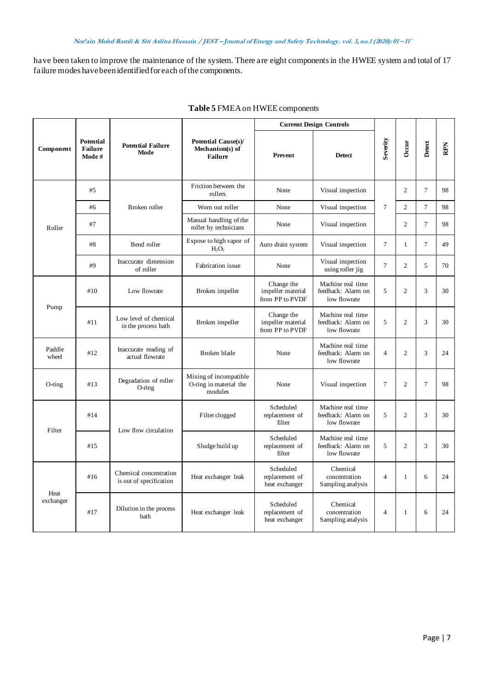have been taken to improve the maintenance of the system. There are eight components in the HWEE system and total of 17 failure modes havebeen identified for each of the components.

|                   |                                              |                                                   |                                                                 | <b>Current Design Controls</b>                     |                                                         |                  |                |                |     |
|-------------------|----------------------------------------------|---------------------------------------------------|-----------------------------------------------------------------|----------------------------------------------------|---------------------------------------------------------|------------------|----------------|----------------|-----|
| Component         | <b>Potential</b><br><b>Failure</b><br>Mode # | <b>Potential Failure</b><br>Mode                  | <b>Potential Cause(s)/</b><br>Mechanism(s) of<br><b>Failure</b> | Prevent                                            | <b>Detect</b>                                           | Severity         | Occur          | Detect         | RPN |
|                   | #5                                           |                                                   | Friction between the<br>rollers                                 | None                                               | Visual inspection                                       |                  | $\overline{2}$ | $\tau$         | 98  |
|                   | #6                                           | Broken roller                                     | Worn out roller                                                 | None                                               | Visual inspection                                       | $\boldsymbol{7}$ | $\overline{2}$ | $\overline{7}$ | 98  |
| Roller            | #7                                           |                                                   | Manual handling of the<br>roller by technicians                 | None                                               | Visual inspection                                       |                  | $\overline{2}$ | $\overline{7}$ | 98  |
|                   | #8                                           | Bend roller                                       | Expose to high vapor of<br>$H_2O_2$                             | Auto drain system                                  | Visual inspection                                       | $\overline{7}$   | $\mathbf{1}$   | $\overline{7}$ | 49  |
|                   | #9                                           | Inaccurate dimension<br>of roller                 | Fabrication issue                                               | None                                               | Visual inspection<br>using roller jig                   | $\tau$           | 2              | 5              | 70  |
| Pump              | #10                                          | Low flowrate                                      | Broken impeller                                                 | Change the<br>impeller material<br>from PP to PVDF | Machine real time<br>feedback: Alarm on<br>low flowrate | 5                | $\overline{2}$ | 3              | 30  |
|                   | #11                                          | Low level of chemical<br>in the process bath      | Broken impeller                                                 | Change the<br>impeller material<br>from PP to PVDF | Machine real time<br>feedback: Alarm on<br>low flowrate | 5                | $\overline{c}$ | 3              | 30  |
| Paddle<br>wheel   | #12                                          | Inaccurate reading of<br>actual flowrate          | Broken blade                                                    | None                                               | Machine real time<br>feedback: Alarm on<br>low flowrate | $\overline{4}$   | $\overline{2}$ | 3              | 24  |
| $O$ -ring         | #13                                          | Degradation of roller<br>$O$ -ring                | Mixing of incompatible<br>O-ring in material the<br>modules     | None                                               | Visual inspection                                       | $\overline{7}$   | $\overline{c}$ | $\overline{7}$ | 98  |
| Filter            | #14                                          | Low flow circulation                              | Filter clogged                                                  | Scheduled<br>replacement of<br>filter              | Machine real time<br>feedback: Alarm on<br>low flowrate | 5                | $\overline{2}$ | 3              | 30  |
|                   | #15                                          |                                                   | Sludge build up                                                 | Scheduled<br>replacement of<br>filter              | Machine real time<br>feedback: Alarm on<br>low flowrate | 5                | $\overline{2}$ | 3              | 30  |
| Heat<br>exchanger | #16                                          | Chemical concentration<br>is out of specification | Heat exchanger leak                                             | Scheduled<br>replacement of<br>heat exchanger      | Chemical<br>concentration<br>Sampling analysis          | $\overline{4}$   | $\mathbf{1}$   | 6              | 24  |
|                   | #17                                          | Dilution in the process<br>bath                   | Heat exchanger leak                                             | Scheduled<br>replacement of<br>heat exchanger      | Chemical<br>concentration<br>Sampling analysis          | $\overline{4}$   | 1              | 6              | 24  |

## **Table 5** FMEA on HWEE components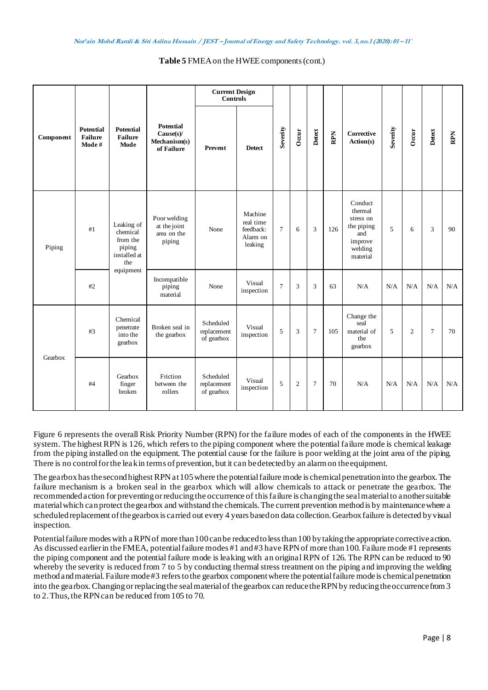#### **Table 5** FMEA on the HWEE components (cont.)

| Component | <b>Potential</b><br><b>Failure</b><br>Mode# | <b>Potential</b><br><b>Failure</b><br>Mode                                       |                                                            | <b>Current Design</b><br><b>Controls</b> |                                                          |                |                |                |     |                                                                                        |          |                |                |     |
|-----------|---------------------------------------------|----------------------------------------------------------------------------------|------------------------------------------------------------|------------------------------------------|----------------------------------------------------------|----------------|----------------|----------------|-----|----------------------------------------------------------------------------------------|----------|----------------|----------------|-----|
|           |                                             |                                                                                  | <b>Potential</b><br>Cause(s)<br>Mechanism(s)<br>of Failure | Prevent                                  | <b>Detect</b>                                            | Severity       | Occur          | Detect         | RPN | Corrective<br>Action(s)                                                                | Severity | Occur          | Detect         | RPN |
| Piping    | #1                                          | Leaking of<br>chemical<br>from the<br>piping<br>installed at<br>the<br>equipment | Poor welding<br>at the joint<br>area on the<br>piping      | None                                     | Machine<br>real time<br>feedback:<br>Alarm on<br>leaking | $\overline{7}$ | 6              | 3              | 126 | Conduct<br>thermal<br>stress on<br>the piping<br>and<br>improve<br>welding<br>material | 5        | 6              | 3              | 90  |
|           | #2                                          |                                                                                  | Incompatible<br>piping<br>material                         | None                                     | Visual<br>inspection                                     | $\overline{7}$ | 3              | 3              | 63  | N/A                                                                                    | N/A      | N/A            | N/A            | N/A |
| Gearbox   | #3                                          | Chemical<br>penetrate<br>into the<br>gearbox                                     | Broken seal in<br>the gearbox                              | Scheduled<br>replacement<br>of gearbox   | Visual<br>inspection                                     | 5              | 3              | $\overline{7}$ | 105 | Change the<br>seal<br>material of<br>the<br>gearbox                                    | 5        | $\overline{c}$ | $\overline{7}$ | 70  |
|           | #4                                          | Gearbox<br>finger<br>broken                                                      | Friction<br>between the<br>rollers                         | Scheduled<br>replacement<br>of gearbox   | Visual<br>inspection                                     | 5              | $\overline{2}$ | $\overline{7}$ | 70  | N/A                                                                                    | N/A      | N/A            | N/A            | N/A |

Figure 6 represents the overall Risk Priority Number (RPN) for the failure modes of each of the components in the HWEE system. The highest RPN is 126, which refers to the piping component where the potential failure mode is chemical leakage from the piping installed on the equipment. The potential cause for the failure is poor welding at the joint area of the piping. There is no control for the leakin terms of prevention, but it can be detected by an alarm on the equipment.

The gearbox has the second highest RPN at 105 where the potential failure mode is chemical penetrationinto the gearbox. The failure mechanism is a broken seal in the gearbox which will allow chemicals to attack or penetrate the gearbox. The recommended action for preventing or reducing the occurrence of this failure is changingthe seal material to another suitable material which can protect the gearbox and withstand the chemicals. The current prevention method is by maintenance where a scheduled replacement of the gearbox is carried out every 4 years based on data collection. Gearbox failure is detected by visual inspection.

Potential failure modes with a RPN of more than 100 can be reduced to less than 100 by taking the appropriate corrective action. As discussed earlier in the FMEA, potential failure modes #1 and #3 have RPN of more than 100. Failure mode #1 represents the piping component and the potential failure mode is leaking with an original RPN of 126. The RPN can be reduced to 90 whereby the severity is reduced from 7 to 5 by conducting thermal stress treatment on the piping and improving the welding method and material. Failure mode #3 refersto the gearbox component where the potential failure mode is chemical penetration into the gearbox. Changing or replacing the seal material of the gearbox can reducethe RPN by reducing the occurrence from 3 to 2. Thus, the RPN can be reduced from 105 to 70.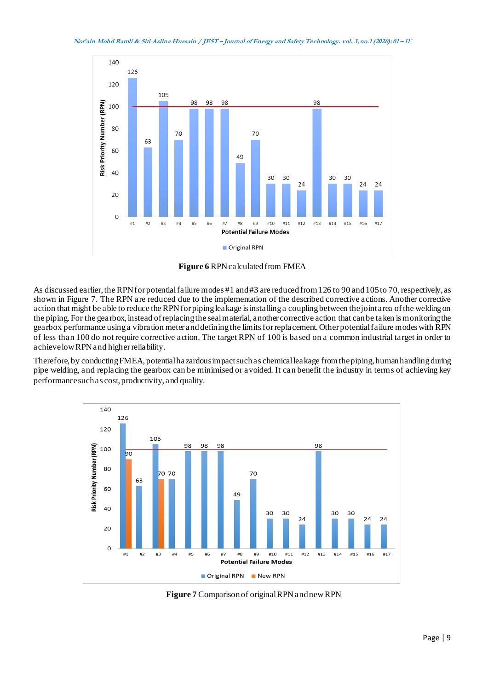

**Figure 6** RPN calculated from FMEA

As discussed earlier, the RPN for potential failure modes #1 and #3 are reduced from 126 to 90 and 105 to 70, respectively, as shown in Figure 7. The RPN are reduced due to the implementation of the described corrective actions. Another corrective action that might be able to reduce the RPN for piping leakage is installinga coupling between the joint area of the welding on the piping. For the gearbox, instead of replacing the seal material, another corrective action that can be taken is monitoring the gearbox performance usinga vibration meter and definingthe limits for replacement.Other potential failure modes with RPN of less than 100 do not require corrective action. The target RPN of 100 is based on a common industrial target in order to achieve low RPN and higher reliability.

Therefore, by conducting FMEA, potential ha zardous impact such as chemical leakage from the piping, human handling during pipe welding, and replacing the gearbox can be minimised or avoided. It can benefit the industry in terms of achieving key performance such as cost, productivity, and quality.



**Figure 7** Comparison of original RPN and new RPN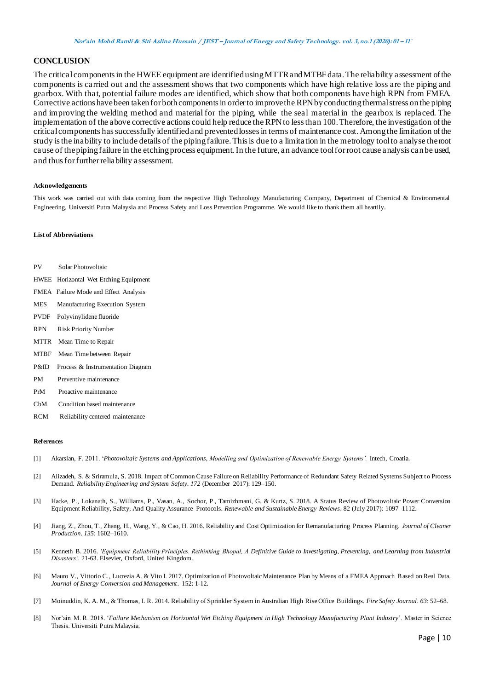#### **CONCLUSION**

The critical componentsin the HWEE equipment are identified usingMTTR and MTBF data. The reliability assessment of the components is carried out and the assessment shows that two components which have high relative loss are the piping and gearbox. With that, potential failure modes are identified, which show that both components have high RPN from FMEA. Corrective actions havebeen taken for both components in order to improve the RPN by conducting thermal stress on the piping and improving the welding method and material for the piping, while the seal material in the gearbox is replaced. The implementation of the above corrective actions could help reduce the RPN to less than 100. Therefore, the investigation ofthe critical components hassuccessfully identified and preventedlosses in terms of maintenance cost. Among the limitation ofthe study is the inability to include details of the piping failure. This is due to a limitation in the metrology tool to analyse the root cause of the piping failure in the etching process equipment.In the future, an advance tool for root cause analysis can be used, and thus for further reliability assessment.

#### **Acknowledgements**

This work was carried out with data coming from the respective High Technology Manufacturing Company, Department of Chemical & Environmental Engineering, Universiti Putra Malaysia and Process Safety and Loss Prevention Programme. We would like to thank them all heartily.

#### **List of Abbreviations**

- PV Solar Photovoltaic
- HWEE Horizontal Wet Etching Equipment
- FMEA Failure Mode and Effect Analysis
- MES Manufacturing Execution System
- PVDF Polyvinylidene fluoride
- RPN Risk Priority Number
- MTTR Mean Time to Repair
- MTBF Mean Time between Repair
- P&ID Process & Instrumentation Diagram
- PM Preventive maintenance
- PrM Proactive maintenance
- CbM Condition based maintenance
- RCM Reliability centered maintenance

#### **References**

- [1] Akarslan, F. 2011. '*Photovoltaic Systems and Applications, Modelling and Optimization of Renewable Energy Systems'.* Intech, Croatia.
- [2] Alizadeh, S. & Sriramula, S. 2018. Impact of Common Cause Failure on Reliability Performance of Redundant Safety Related Systems Subject to Process Demand. *Reliability Engineering and System Safety*. *172* (December 2017): 129–150.
- [3] Hacke, P., Lokanath, S., Williams, P., Vasan, A., Sochor, P., Tamizhmani, G. & Kurtz, S. 2018. A Status Review of Photovoltaic Power Conversion Equipment Reliability, Safety, And Quality Assurance Protocols. *Renewable and Sustainable Energy Reviews*. 82 (July 2017): 1097–1112.
- [4] Jiang, Z., Zhou, T., Zhang, H., Wang, Y., & Cao, H. 2016. Reliability and Cost Optimization for Remanufacturing Process Planning. *Journal of Cleaner Production*. *135*: 1602–1610.
- [5] Kenneth B. 2016. *'Equipment Reliability Principles. Rethinking Bhopal, A Definitive Guide to Investigating, Preventing, and Learning from Industrial Disasters'.* 21-63. Elsevier, Oxford, United Kingdom.
- [6] Mauro V., Vittorio C., Lucrezia A. & Vito I. 2017. Optimization of Photovoltaic Maintenance Plan by Means of a FMEA Approach Based on Real Data. *Journal of Energy Conversion and Management*. 152: 1-12.
- [7] Moinuddin, K. A. M., & Thomas, I. R. 2014. Reliability of Sprinkler System in Australian High Rise Office Buildings. *Fire Safety Journal*. *63*: 52–68.
- [8] Nor'ain M. R. 2018. '*Failure Mechanism on Horizontal Wet Etching Equipment in High Technology Manufacturing Plant Industry*'. Master in Science Thesis. Universiti Putra Malaysia.